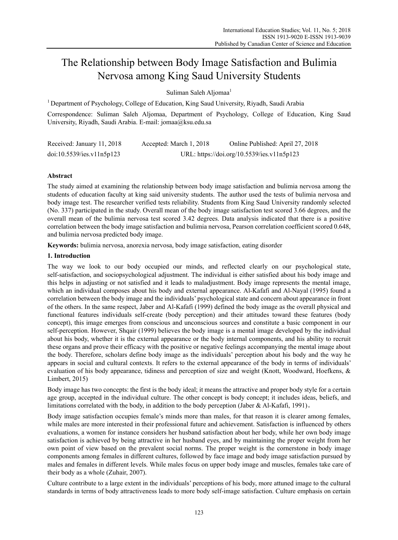# The Relationship between Body Image Satisfaction and Bulimia Nervosa among King Saud University Students

Suliman Saleh Aljomaa<sup>1</sup>

1 Department of Psychology, College of Education, King Saud University, Riyadh, Saudi Arabia

Correspondence: Suliman Saleh Aljomaa, Department of Psychology, College of Education, King Saud University, Riyadh, Saudi Arabia. E-mail: jomaa@ksu.edu.sa

| Received: January 11, 2018 | Accepted: March 1, 2018                    | Online Published: April 27, 2018 |
|----------------------------|--------------------------------------------|----------------------------------|
| doi:10.5539/ies.v11n5p123  | URL: https://doi.org/10.5539/ies.v11n5p123 |                                  |

# **Abstract**

The study aimed at examining the relationship between body image satisfaction and bulimia nervosa among the students of education faculty at king said university students. The author used the tests of bulimia nervosa and body image test. The researcher verified tests reliability. Students from King Saud University randomly selected (No. 337) participated in the study. Overall mean of the body image satisfaction test scored 3.66 degrees, and the overall mean of the bulimia nervosa test scored 3.42 degrees. Data analysis indicated that there is a positive correlation between the body image satisfaction and bulimia nervosa, Pearson correlation coefficient scored 0.648, and bulimia nervosa predicted body image.

**Keywords:** bulimia nervosa, anorexia nervosa, body image satisfaction, eating disorder

## **1. Introduction**

The way we look to our body occupied our minds, and reflected clearly on our psychological state, self-satisfaction, and sociopsychological adjustment. The individual is either satisfied about his body image and this helps in adjusting or not satisfied and it leads to maladjustment. Body image represents the mental image, which an individual composes about his body and external appearance. Al-Kafafi and Al-Nayal (1995) found a correlation between the body image and the individuals' psychological state and concern about appearance in front of the others. In the same respect, Jaber and Al-Kafafi (1999) defined the body image as the overall physical and functional features individuals self-create (body perception) and their attitudes toward these features (body concept), this image emerges from conscious and unconscious sources and constitute a basic component in our self-perception. However, Shqair (1999) believes the body image is a mental image developed by the individual about his body, whether it is the external appearance or the body internal components, and his ability to recruit these organs and prove their efficacy with the positive or negative feelings accompanying the mental image about the body. Therefore, scholars define body image as the individuals' perception about his body and the way he appears in social and cultural contexts. It refers to the external appearance of the body in terms of individuals' evaluation of his body appearance, tidiness and perception of size and weight (Knott, Woodward, Hoefkens, & Limbert, 2015)

Body image has two concepts: the first is the body ideal; it means the attractive and proper body style for a certain age group, accepted in the individual culture. The other concept is body concept; it includes ideas, beliefs, and limitations correlated with the body, in addition to the body perception (Jaber & Al-Kafafi, 1991)。

Body image satisfaction occupies female's minds more than males, for that reason it is clearer among females, while males are more interested in their professional future and achievement. Satisfaction is influenced by others evaluations, a women for instance considers her husband satisfaction about her body, while her own body image satisfaction is achieved by being attractive in her husband eyes, and by maintaining the proper weight from her own point of view based on the prevalent social norms. The proper weight is the cornerstone in body image components among females in different cultures, followed by face image and body image satisfaction pursued by males and females in different levels. While males focus on upper body image and muscles, females take care of their body as a whole (Zuhair, 2007).

Culture contribute to a large extent in the individuals' perceptions of his body, more attuned image to the cultural standards in terms of body attractiveness leads to more body self-image satisfaction. Culture emphasis on certain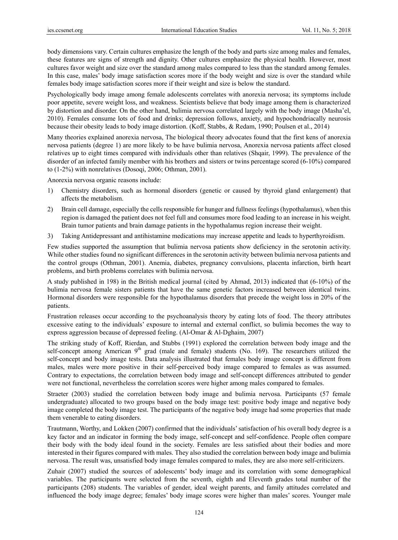body dimensions vary. Certain cultures emphasize the length of the body and parts size among males and females, these features are signs of strength and dignity. Other cultures emphasize the physical health. However, most cultures favor weight and size over the standard among males compared to less than the standard among females. In this case, males' body image satisfaction scores more if the body weight and size is over the standard while females body image satisfaction scores more if their weight and size is below the standard.

Psychologically body image among female adolescents correlates with anorexia nervosa; its symptoms include poor appetite, severe weight loss, and weakness. Scientists believe that body image among them is characterized by distortion and disorder. On the other hand, bulimia nervosa correlated largely with the body image (Masha'el, 2010). Females consume lots of food and drinks; depression follows, anxiety, and hypochondriacally neurosis because their obesity leads to body image distortion. (Koff, Stabbs, & Redam, 1990; Poulsen et al., 2014)

Many theories explained anorexia nervosa, The biological theory advocates found that the first kens of anorexia nervosa patients (degree 1) are more likely to be have bulimia nervosa, Anorexia nervosa patients affect closed relatives up to eight times compared with individuals other than relatives (Shqair, 1999). The prevalence of the disorder of an infected family member with his brothers and sisters or twins percentage scored (6-10%) compared to (1-2%) with nonrelatives (Dosoqi, 2006; Othman, 2001).

Anorexia nervosa organic reasons include:

- 1) Chemistry disorders, such as hormonal disorders (genetic or caused by thyroid gland enlargement) that affects the metabolism.
- 2) Brain cell damage, especially the cells responsible for hunger and fullness feelings (hypothalamus), when this region is damaged the patient does not feel full and consumes more food leading to an increase in his weight. Brain tumor patients and brain damage patients in the hypothalamus region increase their weight.
- 3) Taking Antidepressant and antihistamine medications may increase appetite and leads to hyperthyroidism.

Few studies supported the assumption that bulimia nervosa patients show deficiency in the serotonin activity. While other studies found no significant differences in the serotonin activity between bulimia nervosa patients and the control groups (Othman, 2001). Anemia, diabetes, pregnancy convulsions, placenta infarction, birth heart problems, and birth problems correlates with bulimia nervosa.

A study published in 198) in the British medical journal (cited by Ahmad, 2013) indicated that (6-10%) of the bulimia nervosa female sisters patients that have the same genetic factors increased between identical twins. Hormonal disorders were responsible for the hypothalamus disorders that precede the weight loss in 20% of the patients.

Frustration releases occur according to the psychoanalysis theory by eating lots of food. The theory attributes excessive eating to the individuals' exposure to internal and external conflict, so bulimia becomes the way to express aggression because of depressed feeling. (Al-Omar & Al-Dghaim, 2007)

The striking study of Koff, Rierdan, and Stubbs (1991) explored the correlation between body image and the self-concept among American 9<sup>th</sup> grad (male and female) students (No. 169). The researchers utilized the self-concept and body image tests. Data analysis illustrated that females body image concept is different from males, males were more positive in their self-perceived body image compared to females as was assumed. Contrary to expectations, the correlation between body image and self-concept differences attributed to gender were not functional, nevertheless the correlation scores were higher among males compared to females.

Straeter (2003) studied the correlation between body image and bulimia nervosa. Participants (57 female undergraduate) allocated to two groups based on the body image test: positive body image and negative body image completed the body image test. The participants of the negative body image had some properties that made them venerable to eating disorders.

Trautmann, Worthy, and Lokken (2007) confirmed that the individuals' satisfaction of his overall body degree is a key factor and an indicator in forming the body image, self-concept and self-confidence. People often compare their body with the body ideal found in the society. Females are less satisfied about their bodies and more interested in their figures compared with males. They also studied the correlation between body image and bulimia nervosa. The result was, unsatisfied body image females compared to males, they are also more self-criticizers.

Zuhair (2007) studied the sources of adolescents' body image and its correlation with some demographical variables. The participants were selected from the seventh, eighth and Eleventh grades total number of the participants (208) students. The variables of gender, ideal weight parents, and family attitudes correlated and influenced the body image degree; females' body image scores were higher than males' scores. Younger male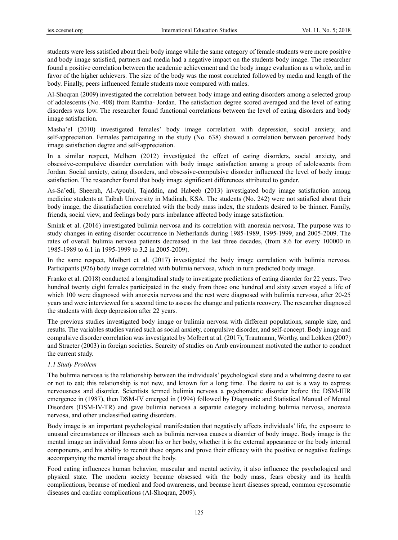students were less satisfied about their body image while the same category of female students were more positive and body image satisfied, partners and media had a negative impact on the students body image. The researcher found a positive correlation between the academic achievement and the body image evaluation as a whole, and in favor of the higher achievers. The size of the body was the most correlated followed by media and length of the body. Finally, peers influenced female students more compared with males.

Al-Shoqran (2009) investigated the correlation between body image and eating disorders among a selected group of adolescents (No. 408) from Ramtha- Jordan. The satisfaction degree scored averaged and the level of eating disorders was low. The researcher found functional correlations between the level of eating disorders and body image satisfaction.

Masha'el (2010) investigated females' body image correlation with depression, social anxiety, and self-appreciation. Females participating in the study (No. 638) showed a correlation between perceived body image satisfaction degree and self-appreciation.

In a similar respect, Melhem (2012) investigated the effect of eating disorders, social anxiety, and obsessive-compulsive disorder correlation with body image satisfaction among a group of adolescents from Jordan. Social anxiety, eating disorders, and obsessive-compulsive disorder influenced the level of body image satisfaction. The researcher found that body image significant differences attributed to gender.

As-Sa'edi, Sheerah, Al-Ayoubi, Tajaddin, and Habeeb (2013) investigated body image satisfaction among medicine students at Taibah University in Madinah, KSA. The students (No. 242) were not satisfied about their body image, the dissatisfaction correlated with the body mass index, the students desired to be thinner. Family, friends, social view, and feelings body parts imbalance affected body image satisfaction.

Smink et al. (2016) investigated bulimia nervosa and its correlation with anorexia nervosa. The purpose was to study changes in eating disorder occurrence in Netherlands during 1985-1989, 1995-1999, and 2005-2009. The rates of overall bulimia nervosa patients decreased in the last three decades, (from 8.6 for every 100000 in 1985-1989 to 6.1 in 1995-1999 to 3.2 in 2005-2009).

In the same respect, Molbert et al. (2017) investigated the body image correlation with bulimia nervosa. Participants (926) body image correlated with bulimia nervosa, which in turn predicted body image.

Franko et al. (2018) conducted a longitudinal study to investigate predictions of eating disorder for 22 years. Two hundred twenty eight females participated in the study from those one hundred and sixty seven stayed a life of which 100 were diagnosed with anorexia nervosa and the rest were diagnosed with bulimia nervosa, after 20-25 years and were interviewed for a second time to assess the change and patients recovery. The researcher diagnosed the students with deep depression after 22 years.

The previous studies investigated body image or bulimia nervosa with different populations, sample size, and results. The variables studies varied such as social anxiety, compulsive disorder, and self-concept. Body image and compulsive disorder correlation was investigated by Molbert at al. (2017); Trautmann, Worthy, and Lokken (2007) and Straeter (2003) in foreign societies. Scarcity of studies on Arab environment motivated the author to conduct the current study.

# *1.1 Study Problem*

The bulimia nervosa is the relationship between the individuals' psychological state and a whelming desire to eat or not to eat; this relationship is not new, and known for a long time. The desire to eat is a way to express nervousness and disorder. Scientists termed bulimia nervosa a psychometric disorder before the DSM-IIIR emergence in (1987), then DSM-IV emerged in (1994) followed by Diagnostic and Statistical Manual of Mental Disorders (DSM-IV-TR) and gave bulimia nervosa a separate category including bulimia nervosa, anorexia nervosa, and other unclassified eating disorders.

Body image is an important psychological manifestation that negatively affects individuals' life, the exposure to unusual circumstances or illnesses such as bulimia nervosa causes a disorder of body image. Body image is the mental image an individual forms about his or her body, whether it is the external appearance or the body internal components, and his ability to recruit these organs and prove their efficacy with the positive or negative feelings accompanying the mental image about the body.

Food eating influences human behavior, muscular and mental activity, it also influence the psychological and physical state. The modern society became obsessed with the body mass, fears obesity and its health complications, because of medical and food awareness, and because heart diseases spread, common cycosomatic diseases and cardiac complications (Al-Shoqran, 2009).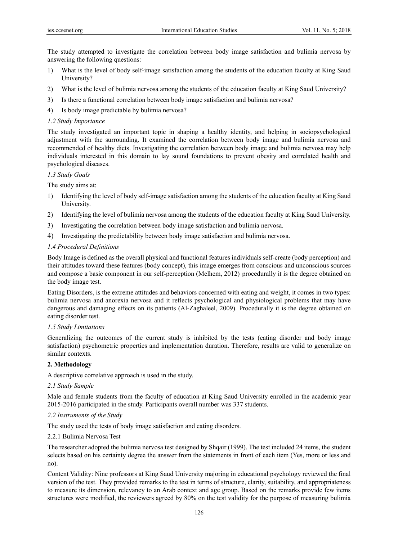The study attempted to investigate the correlation between body image satisfaction and bulimia nervosa by answering the following questions:

- 1) What is the level of body self-image satisfaction among the students of the education faculty at King Saud University?
- 2) What is the level of bulimia nervosa among the students of the education faculty at King Saud University?
- 3) Is there a functional correlation between body image satisfaction and bulimia nervosa?
- 4) Is body image predictable by bulimia nervosa?

## *1.2 Study Importance*

The study investigated an important topic in shaping a healthy identity, and helping in sociopsychological adjustment with the surrounding. It examined the correlation between body image and bulimia nervosa and recommended of healthy diets. Investigating the correlation between body image and bulimia nervosa may help individuals interested in this domain to lay sound foundations to prevent obesity and correlated health and psychological diseases.

## *1.3 Study Goals*

The study aims at:

- 1) Identifying the level of body self-image satisfaction among the students of the education faculty at King Saud University.
- 2) Identifying the level of bulimia nervosa among the students of the education faculty at King Saud University.
- 3) Investigating the correlation between body image satisfaction and bulimia nervosa.
- 4) Investigating the predictability between body image satisfaction and bulimia nervosa.

#### *1.4 Procedural Definitions*

Body Image is defined as the overall physical and functional features individuals self-create (body perception) and their attitudes toward these features (body concept), this image emerges from conscious and unconscious sources and compose a basic component in our self-perception (Melhem, 2012) procedurally it is the degree obtained on the body image test.

Eating Disorders, is the extreme attitudes and behaviors concerned with eating and weight, it comes in two types: bulimia nervosa and anorexia nervosa and it reflects psychological and physiological problems that may have dangerous and damaging effects on its patients (Al-Zaghaleel, 2009). Procedurally it is the degree obtained on eating disorder test.

#### *1.5 Study Limitations*

Generalizing the outcomes of the current study is inhibited by the tests (eating disorder and body image satisfaction) psychometric properties and implementation duration. Therefore, results are valid to generalize on similar contexts.

## **2. Methodology**

A descriptive correlative approach is used in the study.

#### *2.1 Study Sample*

Male and female students from the faculty of education at King Saud University enrolled in the academic year 2015-2016 participated in the study. Participants overall number was 337 students.

## *2.2 Instruments of the Study*

The study used the tests of body image satisfaction and eating disorders.

## 2.2.1 Bulimia Nervosa Test

The researcher adopted the bulimia nervosa test designed by Shqair (1999). The test included 24 items, the student selects based on his certainty degree the answer from the statements in front of each item (Yes, more or less and no).

Content Validity: Nine professors at King Saud University majoring in educational psychology reviewed the final version of the test. They provided remarks to the test in terms of structure, clarity, suitability, and appropriateness to measure its dimension, relevancy to an Arab context and age group. Based on the remarks provide few items structures were modified, the reviewers agreed by 80% on the test validity for the purpose of measuring bulimia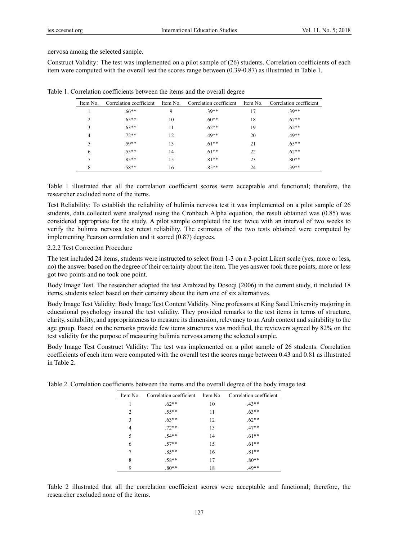nervosa among the selected sample.

Construct Validity: The test was implemented on a pilot sample of (26) students. Correlation coefficients of each item were computed with the overall test the scores range between (0.39-0.87) as illustrated in Table 1.

| Item No. | Correlation coefficient | Item No. | Correlation coefficient | Item No. | Correlation coefficient |
|----------|-------------------------|----------|-------------------------|----------|-------------------------|
|          | $.66**$                 | 9        | 39**                    | 17       | $.39**$                 |
|          | $.65**$                 | 10       | $.60**$                 | 18       | $.67**$                 |
|          | $.63**$                 | 11       | $.62**$                 | 19       | $.62**$                 |
| 4        | $.72**$                 | 12       | .49**                   | 20       | .49**                   |
|          | .59**                   | 13       | $.61**$                 | 21       | $.65**$                 |
| 6        | $.55**$                 | 14       | $.61**$                 | 22       | $.62**$                 |
|          | $.85**$                 | 15       | $.81**$                 | 23       | $.80**$                 |
| 8        | $.58**$                 | 16       | $.85**$                 | 24       | $.39**$                 |

Table 1 illustrated that all the correlation coefficient scores were acceptable and functional; therefore, the researcher excluded none of the items.

Test Reliability: To establish the reliability of bulimia nervosa test it was implemented on a pilot sample of 26 students, data collected were analyzed using the Cronbach Alpha equation, the result obtained was (0.85) was considered appropriate for the study. A pilot sample completed the test twice with an interval of two weeks to verify the bulimia nervosa test retest reliability. The estimates of the two tests obtained were computed by implementing Pearson correlation and it scored (0.87) degrees.

#### 2.2.2 Test Correction Procedure

The test included 24 items, students were instructed to select from 1-3 on a 3-point Likert scale (yes, more or less, no) the answer based on the degree of their certainty about the item. The yes answer took three points; more or less got two points and no took one point.

Body Image Test. The researcher adopted the test Arabized by Dosoqi (2006) in the current study, it included 18 items, students select based on their certainty about the item one of six alternatives.

Body Image Test Validity: Body Image Test Content Validity. Nine professors at King Saud University majoring in educational psychology insured the test validity. They provided remarks to the test items in terms of structure, clarity, suitability, and appropriateness to measure its dimension, relevancy to an Arab context and suitability to the age group. Based on the remarks provide few items structures was modified, the reviewers agreed by 82% on the test validity for the purpose of measuring bulimia nervosa among the selected sample.

Body Image Test Construct Validity: The test was implemented on a pilot sample of 26 students. Correlation coefficients of each item were computed with the overall test the scores range between 0.43 and 0.81 as illustrated in Table 2.

| Item No. | Correlation coefficient | Item No. | Correlation coefficient |
|----------|-------------------------|----------|-------------------------|
| 1        | $.62**$                 | 10       | $.43**$                 |
| 2        | $.55**$                 | 11       | $.63**$                 |
| 3        | $.63**$                 | 12       | $.62**$                 |
| 4        | $.72**$                 | 13       | $.47**$                 |
| 5        | $.54**$                 | 14       | $.61**$                 |
| 6        | $.57**$                 | 15       | $.61**$                 |
| 7        | $.85**$                 | 16       | $.81**$                 |
| 8        | $.58**$                 | 17       | $.80**$                 |
| 9        | $.80**$                 | 18       | $.49**$                 |

Table 2. Correlation coefficients between the items and the overall degree of the body image test

Table 2 illustrated that all the correlation coefficient scores were acceptable and functional; therefore, the researcher excluded none of the items.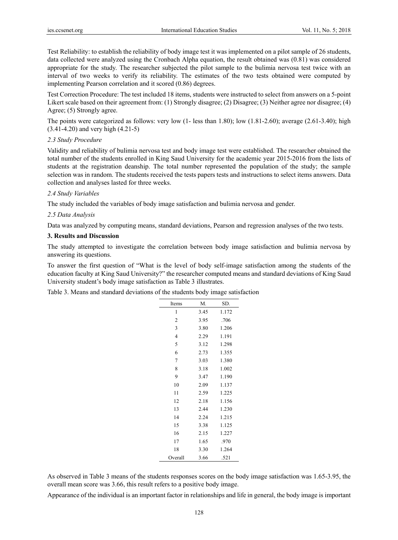Test Reliability: to establish the reliability of body image test it was implemented on a pilot sample of 26 students, data collected were analyzed using the Cronbach Alpha equation, the result obtained was (0.81) was considered appropriate for the study. The researcher subjected the pilot sample to the bulimia nervosa test twice with an interval of two weeks to verify its reliability. The estimates of the two tests obtained were computed by implementing Pearson correlation and it scored (0.86) degrees.

Test Correction Procedure: The test included 18 items, students were instructed to select from answers on a 5-point Likert scale based on their agreement from: (1) Strongly disagree; (2) Disagree; (3) Neither agree nor disagree; (4) Agree; (5) Strongly agree.

The points were categorized as follows: very low  $(1 - \text{less than } 1.80)$ ; low  $(1.81 - 2.60)$ ; average  $(2.61 - 3.40)$ ; high (3.41-4.20) and very high (4.21-5)

## *2.3 Study Procedure*

Validity and reliability of bulimia nervosa test and body image test were established. The researcher obtained the total number of the students enrolled in King Saud University for the academic year 2015-2016 from the lists of students at the registration deanship. The total number represented the population of the study; the sample selection was in random. The students received the tests papers tests and instructions to select items answers. Data collection and analyses lasted for three weeks.

## *2.4 Study Variables*

The study included the variables of body image satisfaction and bulimia nervosa and gender.

#### *2.5 Data Analysis*

Data was analyzed by computing means, standard deviations, Pearson and regression analyses of the two tests.

#### **3. Results and Discussion**

The study attempted to investigate the correlation between body image satisfaction and bulimia nervosa by answering its questions.

To answer the first question of "What is the level of body self-image satisfaction among the students of the education faculty at King Saud University?" the researcher computed means and standard deviations of King Saud University student's body image satisfaction as Table 3 illustrates.

Table 3. Means and standard deviations of the students body image satisfaction

| Items          | M.   | SD.   |
|----------------|------|-------|
| 1              | 3.45 | 1.172 |
| $\overline{2}$ | 3.95 | .706  |
| 3              | 3.80 | 1.206 |
| $\overline{4}$ | 2.29 | 1.191 |
| 5              | 3.12 | 1.298 |
| 6              | 2.73 | 1.355 |
| $\overline{7}$ | 3.03 | 1.380 |
| 8              | 3.18 | 1.002 |
| 9              | 3.47 | 1.190 |
| 10             | 2.09 | 1.137 |
| 11             | 2.59 | 1.225 |
| 12             | 2.18 | 1.156 |
| 13             | 2.44 | 1.230 |
| 14             | 2.24 | 1.215 |
| 15             | 3.38 | 1.125 |
| 16             | 2.15 | 1.227 |
| 17             | 1.65 | .970  |
| 18             | 3.30 | 1.264 |
| Overall        | 3.66 | .521  |

As observed in Table 3 means of the students responses scores on the body image satisfaction was 1.65-3.95, the overall mean score was 3.66, this result refers to a positive body image.

Appearance of the individual is an important factor in relationships and life in general, the body image is important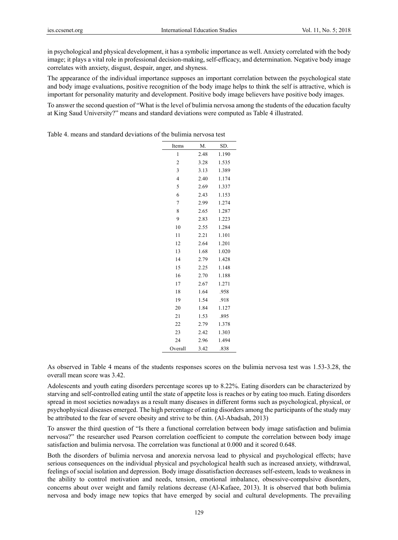in psychological and physical development, it has a symbolic importance as well. Anxiety correlated with the body image; it plays a vital role in professional decision-making, self-efficacy, and determination. Negative body image correlates with anxiety, disgust, despair, anger, and shyness.

The appearance of the individual importance supposes an important correlation between the psychological state and body image evaluations, positive recognition of the body image helps to think the self is attractive, which is important for personality maturity and development. Positive body image believers have positive body images.

To answer the second question of "What is the level of bulimia nervosa among the students of the education faculty at King Saud University?" means and standard deviations were computed as Table 4 illustrated.

Table 4. means and standard deviations of the bulimia nervosa test

| Items          | M.   | SD.   |
|----------------|------|-------|
| 1              | 2.48 | 1.190 |
| $\overline{c}$ | 3.28 | 1.535 |
| 3              | 3.13 | 1.389 |
| $\overline{4}$ | 2.40 | 1.174 |
| 5              | 2.69 | 1.337 |
| 6              | 2.43 | 1.153 |
| 7              | 2.99 | 1.274 |
| 8              | 2.65 | 1.287 |
| 9              | 2.83 | 1.223 |
| 10             | 2.55 | 1.284 |
| 11             | 2.21 | 1.101 |
| 12             | 2.64 | 1.201 |
| 13             | 1.68 | 1.020 |
| 14             | 2.79 | 1.428 |
| 15             | 2.25 | 1.148 |
| 16             | 2.70 | 1.188 |
| 17             | 2.67 | 1.271 |
| 18             | 1.64 | .958  |
| 19             | 1.54 | .918  |
| 20             | 1.84 | 1.127 |
| 21             | 1.53 | .895  |
| 22             | 2.79 | 1.378 |
| 23             | 2.42 | 1.303 |
| 24             | 2.96 | 1.494 |
| Overall        | 3.42 | .838  |

As observed in Table 4 means of the students responses scores on the bulimia nervosa test was 1.53-3.28, the overall mean score was 3.42.

Adolescents and youth eating disorders percentage scores up to 8.22%. Eating disorders can be characterized by starving and self-controlled eating until the state of appetite loss is reaches or by eating too much. Eating disorders spread in most societies nowadays as a result many diseases in different forms such as psychological, physical, or psychophysical diseases emerged. The high percentage of eating disorders among the participants of the study may be attributed to the fear of severe obesity and strive to be thin. (Al-Abadsah, 2013)

To answer the third question of "Is there a functional correlation between body image satisfaction and bulimia nervosa?" the researcher used Pearson correlation coefficient to compute the correlation between body image satisfaction and bulimia nervosa. The correlation was functional at 0.000 and it scored 0.648.

Both the disorders of bulimia nervosa and anorexia nervosa lead to physical and psychological effects; have serious consequences on the individual physical and psychological health such as increased anxiety, withdrawal, feelings of social isolation and depression. Body image dissatisfaction decreases self-esteem, leads to weakness in the ability to control motivation and needs, tension, emotional imbalance, obsessive-compulsive disorders, concerns about over weight and family relations decrease (Al-Kafaee, 2013). It is observed that both bulimia nervosa and body image new topics that have emerged by social and cultural developments. The prevailing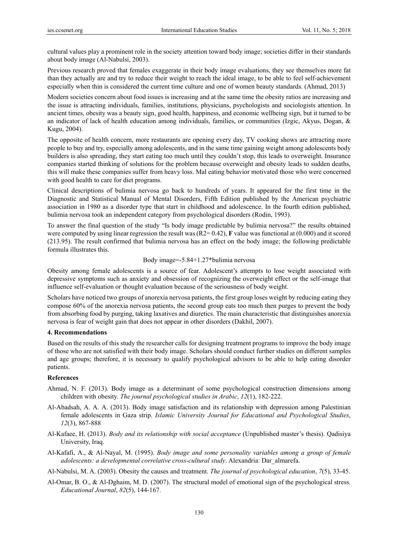cultural values play a prominent role in the society attention toward body image; societies differ in their standards about body image (Al-Nabulsi, 2003).

Previous research proved that females exaggerate in their body image evaluations, they see themselves more fat than they actually are and try to reduce their weight to reach the ideal image, to be able to feel self-achievement especially when thin is considered the current time culture and one of women beauty standards. (Ahmad, 2013)

Modern societies concern about food issues is increasing and at the same time the obesity ratios are increasing and the issue is attracting individuals, families, institutions, physicians, psychologists and sociologists attention. In ancient times, obesity was a beauty sign, good health, happiness, and economic wellbeing sign, but it turned to be an indicator of lack of health education among individuals, families, or communities (Izgic, Akyus, Dogan, & Kugu, 2004).

The opposite of health concern, more restaurants are opening every day, TV cooking shows are attracting more people to buy and try, especially among adolescents, and in the same time gaining weight among adolescents body builders is also spreading, they start eating too much until they couldn't stop, this leads to overweight. Insurance companies started thinking of solutions for the problem because overweight and obesity leads to sudden deaths, this will make these companies suffer from heavy loss. Mal eating behavior motivated those who were concerned with good health to care for diet programs.

Clinical descriptions of bulimia nervosa go back to hundreds of years. It appeared for the first time in the Diagnostic and Statistical Manual of Mental Disorders, Fifth Edition published by the American psychiatric association in 1980 as a disorder type that start in childhood and adolescence. In the fourth edition published, bulimia nervosa took an independent category from psychological disorders (Rodin, 1993).

To answer the final question of the study "Is body image predictable by bulimia nervosa?" the results obtained were computed by using linear regression the result was (R2= 0.42), **F** value was functional at (0.000) and it scored (213.95). The result confirmed that bulimia nervosa has an effect on the body image; the following predictable formula illustrates this.

#### Body image=-5.84+1.27\*bulimia nervosa

Obesity among female adolescents is a source of fear. Adolescent's attempts to lose weight associated with depressive symptoms such as anxiety and obsession of recognizing the overweight effect or the self-image that influence self-evaluation or thought evaluation because of the seriousness of body weight.

Scholars have noticed two groups of anorexia nervosa patients, the first group loses weight by reducing eating they compose 60% of the anorexia nervosa patients, the second group eats too much then purges to prevent the body from absorbing food by purging, taking laxatives and diuretics. The main characteristic that distinguishes anorexia nervosa is fear of weight gain that does not appear in other disorders (Dakhil, 2007).

## **4. Recommendations**

Based on the results of this study the researcher calls for designing treatment programs to improve the body image of those who are not satisfied with their body image. Scholars should conduct further studies on different samples and age groups; therefore, it is necessary to qualify psychological advisors to be able to help eating disorder patients.

## **References**

- Ahmad, N. F. (2013). Body image as a determinant of some psychological construction dimensions among children with obesity. *The journal psychological studies in Arabic*, *12*(1), 182-222.
- Al-Abadsah, A. A. A. (2013). Body image satisfaction and its relationship with depression among Palestinian female adolescents in Gaza strip. *Islamic University Journal for Educational and Psychological Studies*, *12*(3), 867-888
- Al-Kafaee, H. (2013). *Body and its relationship with social acceptance* (Unpublished master's thesis). Qadisiya University, Iraq.
- Al-Kafafi, A., & Al-Nayal, M. (1995). *Body image and some personality variables among a group of female adolescents: a developmental correlative cross-cultural study*. Alexandria: Dar\_almarefa.
- Al-Nabulsi, M. A. (2003). Obesity the causes and treatment. *The journal of psychological education*, *7*(5), 33-45.
- Al-Omar, B. O., & Al-Dghaim, M. D. (2007). The structural model of emotional sign of the psychological stress. *Educational Journal*, *82*(5), 144-167.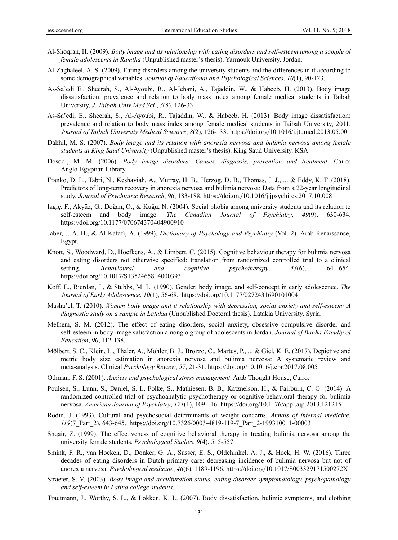- Al-Shoqran, H. (2009). *Body image and its relationship with eating disorders and self-esteem among a sample of female adolescents in Ramtha* (Unpublished master's thesis). Yarmouk University. Jordan.
- Al-Zaghaleel, A. S. (2009). Eating disorders among the university students and the differences in it according to some demographical variables. *Journal of Educational and Psychological Sciences*, *10*(1), 90-123.
- As-Sa'edi E., Sheerah, S., Al-Ayoubi, R., Al-Jehani, A., Tajaddin, W., & Habeeb, H. (2013). Body image dissatisfaction: prevalence and relation to body mass index among female medical students in Taibah University, *J. Taibah Univ Med Sci.*, *3*(8), 126-33.
- As-Sa'edi, E., Sheerah, S., Al-Ayoubi, R., Tajaddin, W., & Habeeb, H. (2013). Body image dissatisfaction: prevalence and relation to body mass index among female medical students in Taibah University, 2011. *Journal of Taibah University Medical Sciences*, *8*(2), 126-133. https://doi.org/10.1016/j.jtumed.2013.05.001
- Dakhil, M. S. (2007). *Body image and its relation with anorexia nervosa and bulimia nervosa among female students at King Saud University* (Unpublished master's thesis). King Saud University. KSA
- Dosoqi, M. M. (2006). *Body image disorders: Causes, diagnosis, prevention and treatment*. Cairo: Anglo-Egyptian Library.
- Franko, D. L., Tabri, N., Keshaviah, A., Murray, H. B., Herzog, D. B., Thomas, J. J., ... & Eddy, K. T. (2018). Predictors of long-term recovery in anorexia nervosa and bulimia nervosa: Data from a 22-year longitudinal study. *Journal of Psychiatric Research*, *96*, 183-188. https://doi.org/10.1016/j.jpsychires.2017.10.008
- Izgiç, F., Akyüz, G., Doğan, O., & Kuğu, N. (2004). Social phobia among university students and its relation to self-esteem and body image. *The Canadian Journal of Psychiatry*, *49*(9), 630-634. https://doi.org/10.1177/070674370404900910
- Jaber, J. A. H., & Al-Kafafi, A. (1999). *Dictionary of Psychology and Psychiatry* (Vol. 2). Arab Renaissance, Egypt.
- Knott, S., Woodward, D., Hoefkens, A., & Limbert, C. (2015). Cognitive behaviour therapy for bulimia nervosa and eating disorders not otherwise specified: translation from randomized controlled trial to a clinical setting. *Behavioural and cognitive psychotherapy*, *43*(6), 641-654. https://doi.org/10.1017/S1352465814000393
- Koff, E., Rierdan, J., & Stubbs, M. L. (1990). Gender, body image, and self-concept in early adolescence. *The Journal of Early Adolescence*, *10*(1), 56-68. https://doi.org/10.1177/0272431690101004
- Masha'el, T. (2010). *Women body image and it relationship with depression, social anxiety and self-esteem: A diagnostic study on a sample in Latakia* (Unpublished Doctoral thesis). Latakia University. Syria.
- Melhem, S. M. (2012). The effect of eating disorders, social anxiety, obsessive compulsive disorder and self-esteem in body image satisfaction among o group of adolescents in Jordan. *Journal of Banha Faculty of Education*, *90*, 112-138.
- Mölbert, S. C., Klein, L., Thaler, A., Mohler, B. J., Brozzo, C., Martus, P., ... & Giel, K. E. (2017). Depictive and metric body size estimation in anorexia nervosa and bulimia nervosa: A systematic review and meta-analysis. Clinical *Psychology Review*, *57*, 21-31. https://doi.org/10.1016/j.cpr.2017.08.005
- Othman, F. S. (2001). *Anxiety and psychological stress management*. Arab Thought House, Cairo.
- Poulsen, S., Lunn, S., Daniel, S. I., Folke, S., Mathiesen, B. B., Katznelson, H., & Fairburn, C. G. (2014). A randomized controlled trial of psychoanalytic psychotherapy or cognitive-behavioral therapy for bulimia nervosa. *American Journal of Psychiatry*, *171*(1), 109-116. https://doi.org/10.1176/appi.ajp.2013.12121511
- Rodin, J. (1993). Cultural and psychosocial determinants of weight concerns. *Annals of internal medicine*, *119*(7\_Part\_2), 643-645. https://doi.org/10.7326/0003-4819-119-7\_Part\_2-199310011-00003
- Shqair, Z. (1999). The effectiveness of cognitive behavioral therapy in treating bulimia nervosa among the university female students. *Psychological Studies*, *9*(4), 515-557.
- Smink, F. R., van Hoeken, D., Donker, G. A., Susser, E. S., Oldehinkel, A. J., & Hoek, H. W. (2016). Three decades of eating disorders in Dutch primary care: decreasing incidence of bulimia nervosa but not of anorexia nervosa. *Psychological medicine*, *46*(6), 1189-1196. https://doi.org/10.1017/S003329171500272X
- Straeter, S. V. (2003). *Body image and acculturation status, eating disorder symptomatology, psychopathology and self-esteem in Latina college students*.
- Trautmann, J., Worthy, S. L., & Lokken, K. L. (2007). Body dissatisfaction, bulimic symptoms, and clothing